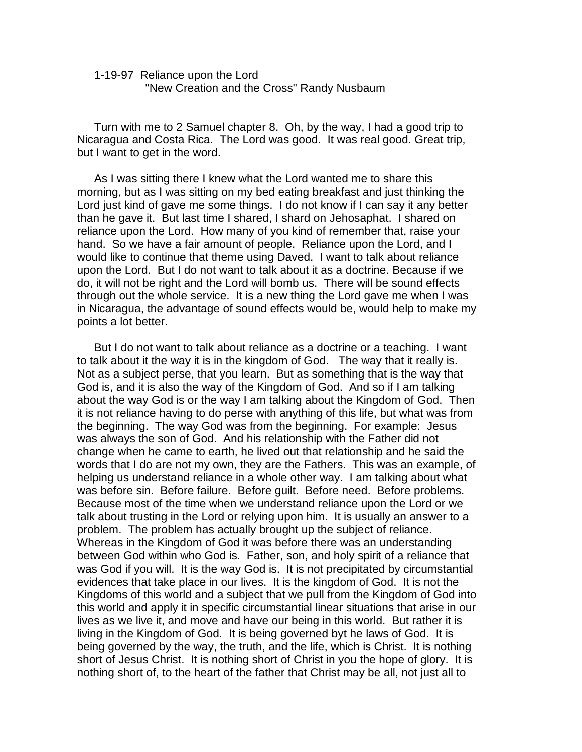## *1-19-97 Reliance upon the Lord "New Creation and the Cross" Randy Nusbaum*

*Turn with me to 2 Samuel chapter 8. Oh, by the way, I had a good trip to Nicaragua and Costa Rica. The Lord was good. It was real good. Great trip, but I want to get in the word.* 

*As I was sitting there I knew what the Lord wanted me to share this morning, but as I was sitting on my bed eating breakfast and just thinking the*  Lord just kind of gave me some things. I do not know if I can say it any better *than he gave it. But last time I shared, I shard on Jehosaphat. I shared on reliance upon the Lord. How many of you kind of remember that, raise your hand. So we have a fair amount of people. Reliance upon the Lord, and I would like to continue that theme using Daved. I want to talk about reliance upon the Lord. But I do not want to talk about it as a doctrine. Because if we do, it will not be right and the Lord will bomb us. There will be sound effects through out the whole service. It is a new thing the Lord gave me when I was in Nicaragua, the advantage of sound effects would be, would help to make my points a lot better.*

*But I do not want to talk about reliance as a doctrine or a teaching. I want to talk about it the way it is in the kingdom of God. The way that it really is. Not as a subject perse, that you learn. But as something that is the way that God is, and it is also the way of the Kingdom of God. And so if I am talking about the way God is or the way I am talking about the Kingdom of God. Then it is not reliance having to do perse with anything of this life, but what was from the beginning. The way God was from the beginning. For example: Jesus was always the son of God. And his relationship with the Father did not change when he came to earth, he lived out that relationship and he said the words that I do are not my own, they are the Fathers. This was an example, of helping us understand reliance in a whole other way. I am talking about what was before sin. Before failure. Before guilt. Before need. Before problems. Because most of the time when we understand reliance upon the Lord or we talk about trusting in the Lord or relying upon him. It is usually an answer to a problem. The problem has actually brought up the subject of reliance. Whereas in the Kingdom of God it was before there was an understanding between God within who God is. Father, son, and holy spirit of a reliance that*  was God if you will. It is the way God is. It is not precipitated by circumstantial *evidences that take place in our lives. It is the kingdom of God. It is not the Kingdoms of this world and a subject that we pull from the Kingdom of God into this world and apply it in specific circumstantial linear situations that arise in our lives as we live it, and move and have our being in this world. But rather it is living in the Kingdom of God. It is being governed byt he laws of God. It is being governed by the way, the truth, and the life, which is Christ. It is nothing short of Jesus Christ. It is nothing short of Christ in you the hope of glory. It is nothing short of, to the heart of the father that Christ may be all, not just all to*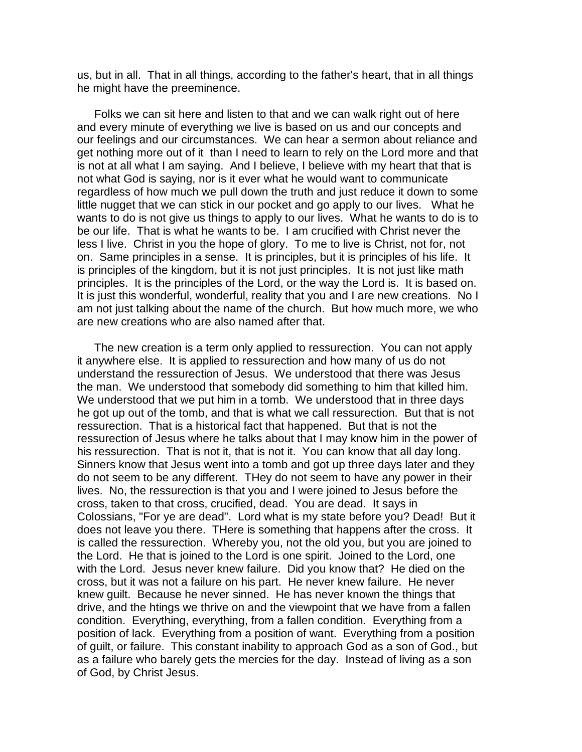*us, but in all. That in all things, according to the father's heart, that in all things he might have the preeminence.* 

*Folks we can sit here and listen to that and we can walk right out of here and every minute of everything we live is based on us and our concepts and our feelings and our circumstances. We can hear a sermon about reliance and get nothing more out of it than I need to learn to rely on the Lord more and that is not at all what I am saying. And I believe, I believe with my heart that that is not what God is saying, nor is it ever what he would want to communicate*  regardless of how much we pull down the truth and just reduce it down to some little nugget that we can stick in our pocket and go apply to our lives. What he wants to do is not give us things to apply to our lives. What he wants to do is to *be our life. That is what he wants to be. I am crucified with Christ never the*  less I live. Christ in you the hope of glory. To me to live is Christ, not for, not *on. Same principles in a sense. It is principles, but it is principles of his life. It is principles of the kingdom, but it is not just principles. It is not just like math principles. It is the principles of the Lord, or the way the Lord is. It is based on. It is just this wonderful, wonderful, reality that you and I are new creations. No I am not just talking about the name of the church. But how much more, we who are new creations who are also named after that.* 

*The new creation is a term only applied to ressurection. You can not apply it anywhere else. It is applied to ressurection and how many of us do not understand the ressurection of Jesus. We understood that there was Jesus the man. We understood that somebody did something to him that killed him. We understood that we put him in a tomb. We understood that in three days he got up out of the tomb, and that is what we call ressurection. But that is not ressurection. That is a historical fact that happened. But that is not the ressurection of Jesus where he talks about that I may know him in the power of his ressurection. That is not it, that is not it. You can know that all day long. Sinners know that Jesus went into a tomb and got up three days later and they do not seem to be any different. THey do not seem to have any power in their lives. No, the ressurection is that you and I were joined to Jesus before the cross, taken to that cross, crucified, dead. You are dead. It says in Colossians, "For ye are dead". Lord what is my state before you? Dead! But it does not leave you there. THere is something that happens after the cross. It is called the ressurection. Whereby you, not the old you, but you are joined to the Lord. He that is joined to the Lord is one spirit. Joined to the Lord, one with the Lord. Jesus never knew failure. Did you know that? He died on the cross, but it was not a failure on his part. He never knew failure. He never knew guilt. Because he never sinned. He has never known the things that drive, and the htings we thrive on and the viewpoint that we have from a fallen condition. Everything, everything, from a fallen condition. Everything from a position of lack. Everything from a position of want. Everything from a position of guilt, or failure. This constant inability to approach God as a son of God., but as a failure who barely gets the mercies for the day. Instead of living as a son of God, by Christ Jesus.*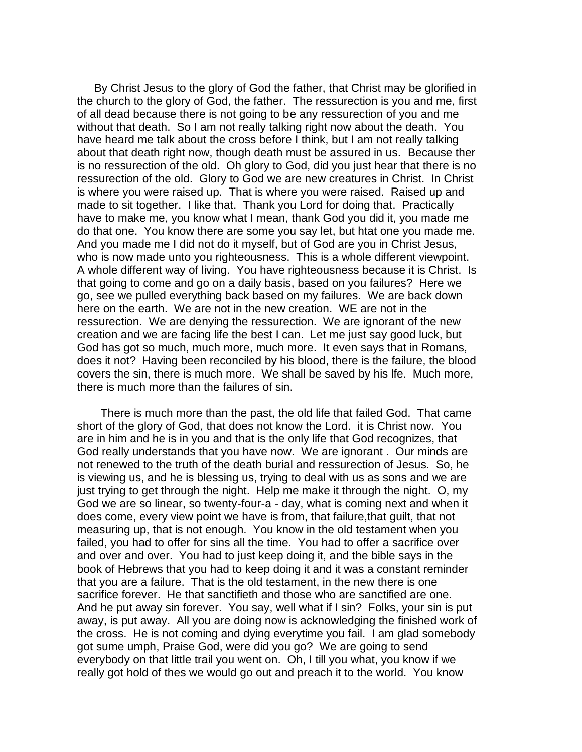*By Christ Jesus to the glory of God the father, that Christ may be glorified in the church to the glory of God, the father. The ressurection is you and me, first of all dead because there is not going to be any ressurection of you and me without that death. So I am not really talking right now about the death. You*  have heard me talk about the cross before I think, but I am not really talking *about that death right now, though death must be assured in us. Because ther is no ressurection of the old. Oh glory to God, did you just hear that there is no*  ressurection of the old. Glory to God we are new creatures in Christ. In Christ *is where you were raised up. That is where you were raised. Raised up and made to sit together. I like that. Thank you Lord for doing that. Practically*  have to make me, you know what I mean, thank God you did it, you made me *do that one. You know there are some you say let, but htat one you made me. And you made me I did not do it myself, but of God are you in Christ Jesus, who is now made unto you righteousness. This is a whole different viewpoint. A whole different way of living. You have righteousness because it is Christ. Is that going to come and go on a daily basis, based on you failures? Here we go, see we pulled everything back based on my failures. We are back down here on the earth. We are not in the new creation. WE are not in the ressurection. We are denying the ressurection. We are ignorant of the new creation and we are facing life the best I can. Let me just say good luck, but God has got so much, much more, much more. It even says that in Romans, does it not? Having been reconciled by his blood, there is the failure, the blood covers the sin, there is much more. We shall be saved by his lfe. Much more, there is much more than the failures of sin.*

 *There is much more than the past, the old life that failed God. That came short of the glory of God, that does not know the Lord. it is Christ now. You are in him and he is in you and that is the only life that God recognizes, that God really understands that you have now. We are ignorant . Our minds are not renewed to the truth of the death burial and ressurection of Jesus. So, he is viewing us, and he is blessing us, trying to deal with us as sons and we are just trying to get through the night. Help me make it through the night. O, my God we are so linear, so twenty-four-a - day, what is coming next and when it*  does come, every view point we have is from, that failure, that guilt, that not *measuring up, that is not enough. You know in the old testament when you failed, you had to offer for sins all the time. You had to offer a sacrifice over and over and over. You had to just keep doing it, and the bible says in the book of Hebrews that you had to keep doing it and it was a constant reminder that you are a failure. That is the old testament, in the new there is one sacrifice forever. He that sanctifieth and those who are sanctified are one. And he put away sin forever. You say, well what if I sin? Folks, your sin is put*  away, is put away. All you are doing now is acknowledging the finished work of *the cross. He is not coming and dying everytime you fail. I am glad somebody got sume umph, Praise God, were did you go? We are going to send everybody on that little trail you went on. Oh, I till you what, you know if we really got hold of thes we would go out and preach it to the world. You know*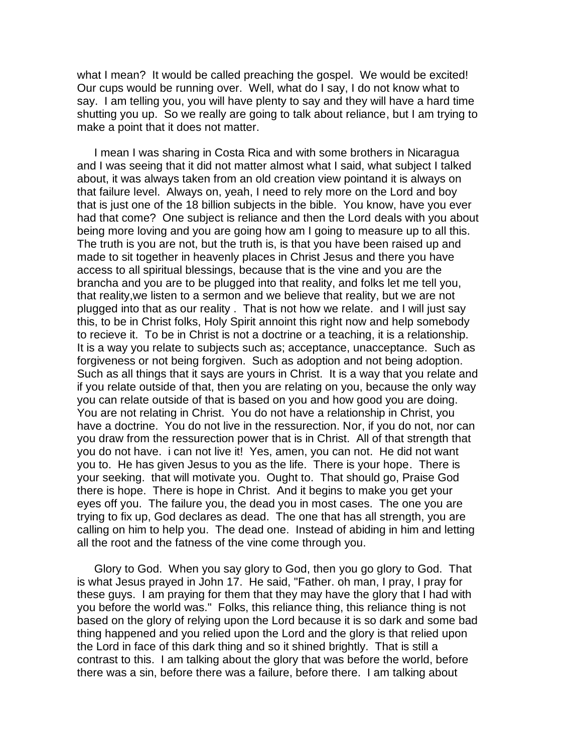*what I mean? It would be called preaching the gospel. We would be excited! Our cups would be running over. Well, what do I say, I do not know what to say. I am telling you, you will have plenty to say and they will have a hard time shutting you up. So we really are going to talk about reliance, but I am trying to make a point that it does not matter.* 

*I mean I was sharing in Costa Rica and with some brothers in Nicaragua*  and I was seeing that it did not matter almost what I said, what subject I talked *about, it was always taken from an old creation view pointand it is always on that failure level. Always on, yeah, I need to rely more on the Lord and boy that is just one of the 18 billion subjects in the bible. You know, have you ever had that come? One subject is reliance and then the Lord deals with you about being more loving and you are going how am I going to measure up to all this. The truth is you are not, but the truth is, is that you have been raised up and made to sit together in heavenly places in Christ Jesus and there you have access to all spiritual blessings, because that is the vine and you are the brancha and you are to be plugged into that reality, and folks let me tell you, that reality,we listen to a sermon and we believe that reality, but we are not plugged into that as our reality . That is not how we relate. and I will just say this, to be in Christ folks, Holy Spirit annoint this right now and help somebody to recieve it. To be in Christ is not a doctrine or a teaching, it is a relationship. It is a way you relate to subjects such as; acceptance, unacceptance. Such as forgiveness or not being forgiven. Such as adoption and not being adoption. Such as all things that it says are yours in Christ. It is a way that you relate and if you relate outside of that, then you are relating on you, because the only way you can relate outside of that is based on you and how good you are doing. You are not relating in Christ. You do not have a relationship in Christ, you have a doctrine. You do not live in the ressurection. Nor, if you do not, nor can you draw from the ressurection power that is in Christ. All of that strength that you do not have. i can not live it! Yes, amen, you can not. He did not want you to. He has given Jesus to you as the life. There is your hope. There is your seeking. that will motivate you. Ought to. That should go, Praise God there is hope. There is hope in Christ. And it begins to make you get your eyes off you. The failure you, the dead you in most cases. The one you are trying to fix up, God declares as dead. The one that has all strength, you are calling on him to help you. The dead one. Instead of abiding in him and letting all the root and the fatness of the vine come through you.*

*Glory to God. When you say glory to God, then you go glory to God. That is what Jesus prayed in John 17. He said, "Father. oh man, I pray, I pray for these guys. I am praying for them that they may have the glory that I had with you before the world was." Folks, this reliance thing, this reliance thing is not based on the glory of relying upon the Lord because it is so dark and some bad thing happened and you relied upon the Lord and the glory is that relied upon the Lord in face of this dark thing and so it shined brightly. That is still a contrast to this. I am talking about the glory that was before the world, before there was a sin, before there was a failure, before there. I am talking about*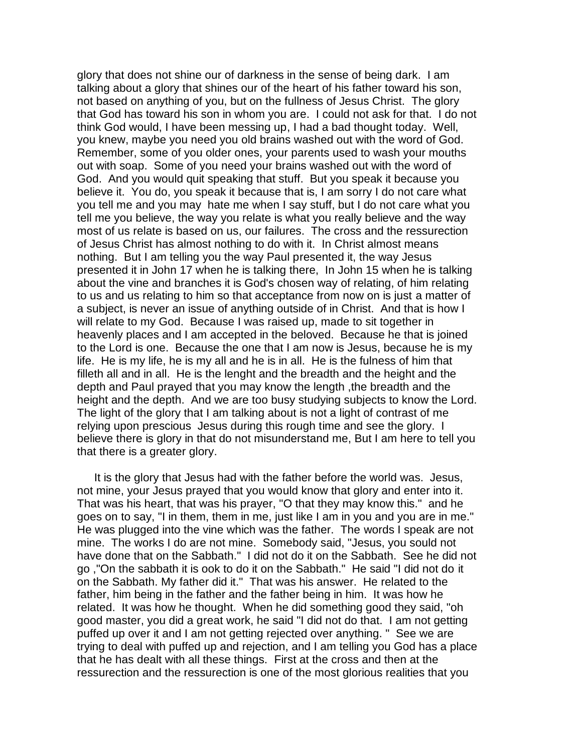*glory that does not shine our of darkness in the sense of being dark. I am talking about a glory that shines our of the heart of his father toward his son, not based on anything of you, but on the fullness of Jesus Christ. The glory that God has toward his son in whom you are. I could not ask for that. I do not think God would, I have been messing up, I had a bad thought today. Well, you knew, maybe you need you old brains washed out with the word of God. Remember, some of you older ones, your parents used to wash your mouths out with soap. Some of you need your brains washed out with the word of God. And you would quit speaking that stuff. But you speak it because you believe it. You do, you speak it because that is, I am sorry I do not care what you tell me and you may hate me when I say stuff, but I do not care what you tell me you believe, the way you relate is what you really believe and the way most of us relate is based on us, our failures. The cross and the ressurection of Jesus Christ has almost nothing to do with it. In Christ almost means nothing. But I am telling you the way Paul presented it, the way Jesus presented it in John 17 when he is talking there, In John 15 when he is talking*  about the vine and branches it is God's chosen way of relating, of him relating *to us and us relating to him so that acceptance from now on is just a matter of a subject, is never an issue of anything outside of in Christ. And that is how I will relate to my God. Because I was raised up, made to sit together in heavenly places and I am accepted in the beloved. Because he that is joined to the Lord is one. Because the one that I am now is Jesus, because he is my life. He is my life, he is my all and he is in all. He is the fulness of him that*  filleth all and in all. He is the lenght and the breadth and the height and the *depth and Paul prayed that you may know the length ,the breadth and the height and the depth. And we are too busy studying subjects to know the Lord. The light of the glory that I am talking about is not a light of contrast of me relying upon prescious Jesus during this rough time and see the glory. I believe there is glory in that do not misunderstand me, But I am here to tell you that there is a greater glory.*

*It is the glory that Jesus had with the father before the world was. Jesus, not mine, your Jesus prayed that you would know that glory and enter into it. That was his heart, that was his prayer, "O that they may know this." and he goes on to say, "I in them, them in me, just like I am in you and you are in me." He was plugged into the vine which was the father. The words I speak are not mine. The works I do are not mine. Somebody said, "Jesus, you sould not*  have done that on the Sabbath." I did not do it on the Sabbath. See he did not *go ,"On the sabbath it is ook to do it on the Sabbath." He said "I did not do it on the Sabbath. My father did it." That was his answer. He related to the*  father, him being in the father and the father being in him. It was how he *related. It was how he thought. When he did something good they said, "oh good master, you did a great work, he said "I did not do that. I am not getting puffed up over it and I am not getting rejected over anything. " See we are trying to deal with puffed up and rejection, and I am telling you God has a place that he has dealt with all these things. First at the cross and then at the ressurection and the ressurection is one of the most glorious realities that you*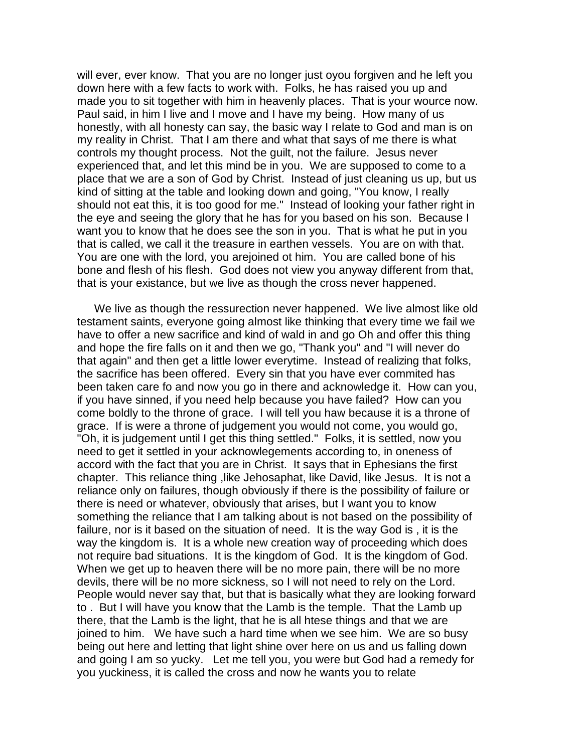*will ever, ever know. That you are no longer just oyou forgiven and he left you down here with a few facts to work with. Folks, he has raised you up and made you to sit together with him in heavenly places. That is your wource now. Paul said, in him I live and I move and I have my being. How many of us honestly, with all honesty can say, the basic way I relate to God and man is on my reality in Christ. That I am there and what that says of me there is what controls my thought process. Not the guilt, not the failure. Jesus never experienced that, and let this mind be in you. We are supposed to come to a*  place that we are a son of God by Christ. Instead of just cleaning us up, but us *kind of sitting at the table and looking down and going, "You know, I really should not eat this, it is too good for me." Instead of looking your father right in the eye and seeing the glory that he has for you based on his son. Because I want you to know that he does see the son in you. That is what he put in you that is called, we call it the treasure in earthen vessels. You are on with that. You are one with the lord, you arejoined ot him. You are called bone of his bone and flesh of his flesh. God does not view you anyway different from that, that is your existance, but we live as though the cross never happened.* 

*We live as though the ressurection never happened. We live almost like old testament saints, everyone going almost like thinking that every time we fail we*  have to offer a new sacrifice and kind of wald in and go Oh and offer this thing *and hope the fire falls on it and then we go, "Thank you" and "I will never do that again" and then get a little lower everytime. Instead of realizing that folks, the sacrifice has been offered. Every sin that you have ever commited has been taken care fo and now you go in there and acknowledge it. How can you, if you have sinned, if you need help because you have failed? How can you come boldly to the throne of grace. I will tell you haw because it is a throne of grace. If is were a throne of judgement you would not come, you would go, "Oh, it is judgement until I get this thing settled." Folks, it is settled, now you need to get it settled in your acknowlegements according to, in oneness of accord with the fact that you are in Christ. It says that in Ephesians the first chapter. This reliance thing ,like Jehosaphat, like David, like Jesus. It is not a reliance only on failures, though obviously if there is the possibility of failure or there is need or whatever, obviously that arises, but I want you to know something the reliance that I am talking about is not based on the possibility of*  failure, nor is it based on the situation of need. It is the way God is, it is the *way the kingdom is. It is a whole new creation way of proceeding which does not require bad situations. It is the kingdom of God. It is the kingdom of God. When we get up to heaven there will be no more pain, there will be no more devils, there will be no more sickness, so I will not need to rely on the Lord. People would never say that, but that is basically what they are looking forward to . But I will have you know that the Lamb is the temple. That the Lamb up there, that the Lamb is the light, that he is all htese things and that we are joined to him. We have such a hard time when we see him. We are so busy being out here and letting that light shine over here on us and us falling down and going I am so yucky. Let me tell you, you were but God had a remedy for you yuckiness, it is called the cross and now he wants you to relate*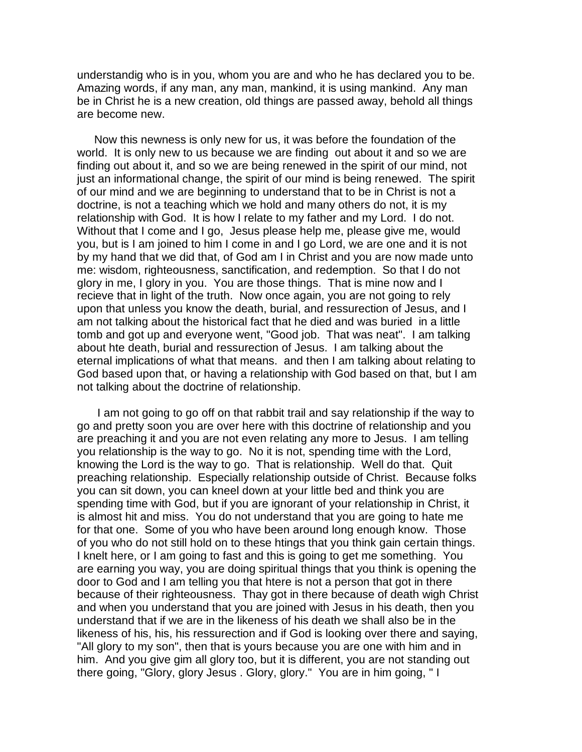*understandig who is in you, whom you are and who he has declared you to be. Amazing words, if any man, any man, mankind, it is using mankind. Any man be in Christ he is a new creation, old things are passed away, behold all things are become new.* 

*Now this newness is only new for us, it was before the foundation of the world. It is only new to us because we are finding out about it and so we are*  finding out about it, and so we are being renewed in the spirit of our mind, not just an informational change, the spirit of our mind is being renewed. The spirit *of our mind and we are beginning to understand that to be in Christ is not a doctrine, is not a teaching which we hold and many others do not, it is my relationship with God. It is how I relate to my father and my Lord. I do not. Without that I come and I go, Jesus please help me, please give me, would you, but is I am joined to him I come in and I go Lord, we are one and it is not by my hand that we did that, of God am I in Christ and you are now made unto me: wisdom, righteousness, sanctification, and redemption. So that I do not glory in me, I glory in you. You are those things. That is mine now and I*  recieve that in light of the truth. Now once again, you are not going to rely upon that unless you know the death, burial, and ressurection of Jesus, and I *am not talking about the historical fact that he died and was buried in a little tomb and got up and everyone went, "Good job. That was neat". I am talking about hte death, burial and ressurection of Jesus. I am talking about the eternal implications of what that means. and then I am talking about relating to God based upon that, or having a relationship with God based on that, but I am not talking about the doctrine of relationship.* 

I am not going to go off on that rabbit trail and say relationship if the way to *go and pretty soon you are over here with this doctrine of relationship and you are preaching it and you are not even relating any more to Jesus. I am telling you relationship is the way to go. No it is not, spending time with the Lord, knowing the Lord is the way to go. That is relationship. Well do that. Quit preaching relationship. Especially relationship outside of Christ. Because folks you can sit down, you can kneel down at your little bed and think you are spending time with God, but if you are ignorant of your relationship in Christ, it is almost hit and miss. You do not understand that you are going to hate me for that one. Some of you who have been around long enough know. Those of you who do not still hold on to these htings that you think gain certain things. I knelt here, or I am going to fast and this is going to get me something. You are earning you way, you are doing spiritual things that you think is opening the door to God and I am telling you that htere is not a person that got in there because of their righteousness. Thay got in there because of death wigh Christ and when you understand that you are joined with Jesus in his death, then you understand that if we are in the likeness of his death we shall also be in the likeness of his, his, his ressurection and if God is looking over there and saying,*  "All glory to my son", then that is yours because you are one with him and in *him. And you give gim all glory too, but it is different, you are not standing out there going, "Glory, glory Jesus . Glory, glory." You are in him going, " I*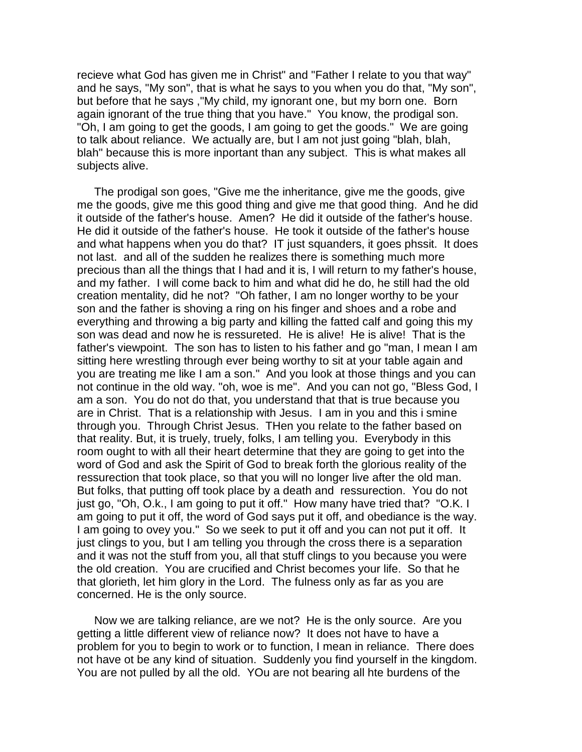*recieve what God has given me in Christ" and "Father I relate to you that way"*  and he says, "My son", that is what he says to you when you do that, "My son", *but before that he says ,"My child, my ignorant one, but my born one. Born again ignorant of the true thing that you have." You know, the prodigal son.*  "Oh, I am going to get the goods, I am going to get the goods." We are going *to talk about reliance. We actually are, but I am not just going "blah, blah, blah" because this is more inportant than any subject. This is what makes all subjects alive.*

*The prodigal son goes, "Give me the inheritance, give me the goods, give me the goods, give me this good thing and give me that good thing. And he did it outside of the father's house. Amen? He did it outside of the father's house. He did it outside of the father's house. He took it outside of the father's house and what happens when you do that? IT just squanders, it goes phssit. It does not last. and all of the sudden he realizes there is something much more precious than all the things that I had and it is, I will return to my father's house,*  and my father. I will come back to him and what did he do, he still had the old *creation mentality, did he not? "Oh father, I am no longer worthy to be your son and the father is shoving a ring on his finger and shoes and a robe and everything and throwing a big party and killing the fatted calf and going this my son was dead and now he is ressureted. He is alive! He is alive! That is the father's viewpoint. The son has to listen to his father and go "man, I mean I am sitting here wrestling through ever being worthy to sit at your table again and you are treating me like I am a son." And you look at those things and you can not continue in the old way. "oh, woe is me". And you can not go, "Bless God, I am a son. You do not do that, you understand that that is true because you are in Christ. That is a relationship with Jesus. I am in you and this i smine through you. Through Christ Jesus. THen you relate to the father based on that reality. But, it is truely, truely, folks, I am telling you. Everybody in this*  room ought to with all their heart determine that they are going to get into the *word of God and ask the Spirit of God to break forth the glorious reality of the ressurection that took place, so that you will no longer live after the old man. But folks, that putting off took place by a death and ressurection. You do not just go, "Oh, O.k., I am going to put it off." How many have tried that? "O.K. I am going to put it off, the word of God says put it off, and obediance is the way.*  I am going to ovey you." So we seek to put it off and you can not put it off. It *just clings to you, but I am telling you through the cross there is a separation and it was not the stuff from you, all that stuff clings to you because you were the old creation. You are crucified and Christ becomes your life. So that he that glorieth, let him glory in the Lord. The fulness only as far as you are concerned. He is the only source.* 

*Now we are talking reliance, are we not? He is the only source. Are you getting a little different view of reliance now? It does not have to have a problem for you to begin to work or to function, I mean in reliance. There does not have ot be any kind of situation. Suddenly you find yourself in the kingdom. You are not pulled by all the old. YOu are not bearing all hte burdens of the*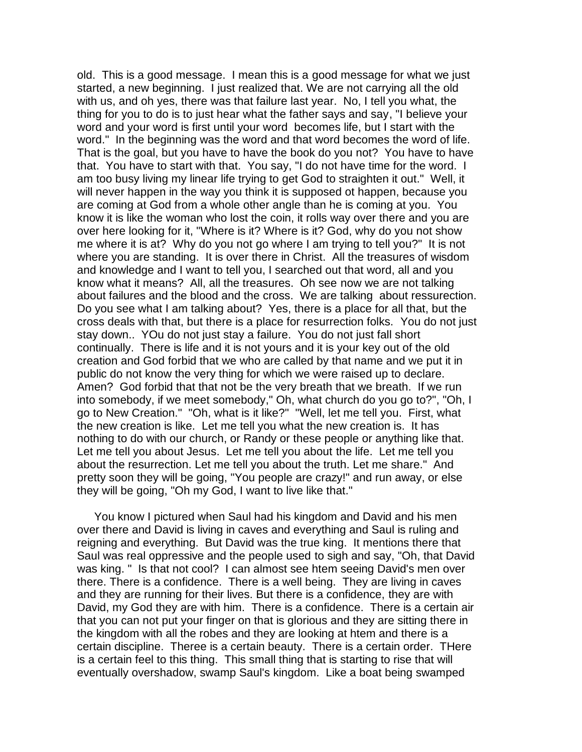*old. This is a good message. I mean this is a good message for what we just started, a new beginning. I just realized that. We are not carrying all the old with us, and oh yes, there was that failure last year. No, I tell you what, the thing for you to do is to just hear what the father says and say, "I believe your word and your word is first until your word becomes life, but I start with the word." In the beginning was the word and that word becomes the word of life. That is the goal, but you have to have the book do you not? You have to have that. You have to start with that. You say, "I do not have time for the word. I*  am too busy living my linear life trying to get God to straighten it out." Well, it *will never happen in the way you think it is supposed ot happen, because you are coming at God from a whole other angle than he is coming at you. You know it is like the woman who lost the coin, it rolls way over there and you are over here looking for it, "Where is it? Where is it? God, why do you not show me where it is at? Why do you not go where I am trying to tell you?" It is not where you are standing. It is over there in Christ. All the treasures of wisdom and knowledge and I want to tell you, I searched out that word, all and you know what it means? All, all the treasures. Oh see now we are not talking about failures and the blood and the cross. We are talking about ressurection. Do you see what I am talking about? Yes, there is a place for all that, but the cross deals with that, but there is a place for resurrection folks. You do not just stay down.. YOu do not just stay a failure. You do not just fall short continually. There is life and it is not yours and it is your key out of the old creation and God forbid that we who are called by that name and we put it in public do not know the very thing for which we were raised up to declare. Amen? God forbid that that not be the very breath that we breath. If we run into somebody, if we meet somebody," Oh, what church do you go to?", "Oh, I go to New Creation." "Oh, what is it like?" "Well, let me tell you. First, what the new creation is like. Let me tell you what the new creation is. It has nothing to do with our church, or Randy or these people or anything like that. Let me tell you about Jesus. Let me tell you about the life. Let me tell you about the resurrection. Let me tell you about the truth. Let me share." And pretty soon they will be going, "You people are crazy!" and run away, or else they will be going, "Oh my God, I want to live like that."*

*You know I pictured when Saul had his kingdom and David and his men over there and David is living in caves and everything and Saul is ruling and reigning and everything. But David was the true king. It mentions there that Saul was real oppressive and the people used to sigh and say, "Oh, that David was king. " Is that not cool? I can almost see htem seeing David's men over there. There is a confidence. There is a well being. They are living in caves and they are running for their lives. But there is a confidence, they are with David, my God they are with him. There is a confidence. There is a certain air that you can not put your finger on that is glorious and they are sitting there in the kingdom with all the robes and they are looking at htem and there is a certain discipline. Theree is a certain beauty. There is a certain order. THere is a certain feel to this thing. This small thing that is starting to rise that will eventually overshadow, swamp Saul's kingdom. Like a boat being swamped*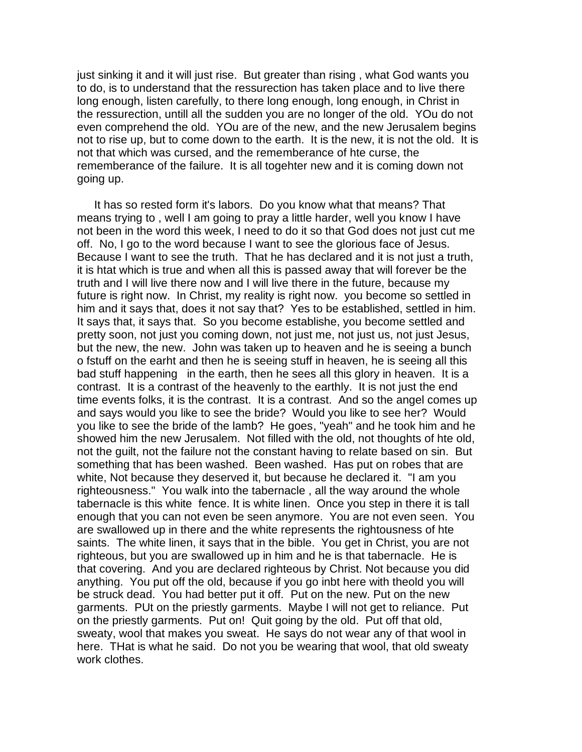*just sinking it and it will just rise. But greater than rising , what God wants you to do, is to understand that the ressurection has taken place and to live there*  long enough, listen carefully, to there long enough, long enough, in Christ in *the ressurection, untill all the sudden you are no longer of the old. YOu do not even comprehend the old. YOu are of the new, and the new Jerusalem begins not to rise up, but to come down to the earth. It is the new, it is not the old. It is not that which was cursed, and the rememberance of hte curse, the rememberance of the failure. It is all togehter new and it is coming down not going up.*

*It has so rested form it's labors. Do you know what that means? That means trying to , well I am going to pray a little harder, well you know I have not been in the word this week, I need to do it so that God does not just cut me off. No, I go to the word because I want to see the glorious face of Jesus. Because I want to see the truth. That he has declared and it is not just a truth, it is htat which is true and when all this is passed away that will forever be the truth and I will live there now and I will live there in the future, because my*  future is right now. In Christ, my reality is right now. you become so settled in *him and it says that, does it not say that? Yes to be established, settled in him. It says that, it says that. So you become establishe, you become settled and pretty soon, not just you coming down, not just me, not just us, not just Jesus, but the new, the new. John was taken up to heaven and he is seeing a bunch o fstuff on the earht and then he is seeing stuff in heaven, he is seeing all this bad stuff happening in the earth, then he sees all this glory in heaven. It is a contrast. It is a contrast of the heavenly to the earthly. It is not just the end time events folks, it is the contrast. It is a contrast. And so the angel comes up and says would you like to see the bride? Would you like to see her? Would you like to see the bride of the lamb? He goes, "yeah" and he took him and he showed him the new Jerusalem. Not filled with the old, not thoughts of hte old, not the guilt, not the failure not the constant having to relate based on sin. But something that has been washed. Been washed. Has put on robes that are white, Not because they deserved it, but because he declared it. "I am you righteousness." You walk into the tabernacle , all the way around the whole tabernacle is this white fence. It is white linen. Once you step in there it is tall enough that you can not even be seen anymore. You are not even seen. You are swallowed up in there and the white represents the rightousness of hte saints. The white linen, it says that in the bible. You get in Christ, you are not righteous, but you are swallowed up in him and he is that tabernacle. He is that covering. And you are declared righteous by Christ. Not because you did*  anything. You put off the old, because if you go inbt here with theold you will *be struck dead. You had better put it off. Put on the new. Put on the new*  garments. PUt on the priestly garments. Maybe I will not get to reliance. Put *on the priestly garments. Put on! Quit going by the old. Put off that old, sweaty, wool that makes you sweat. He says do not wear any of that wool in here. THat is what he said. Do not you be wearing that wool, that old sweaty work clothes.*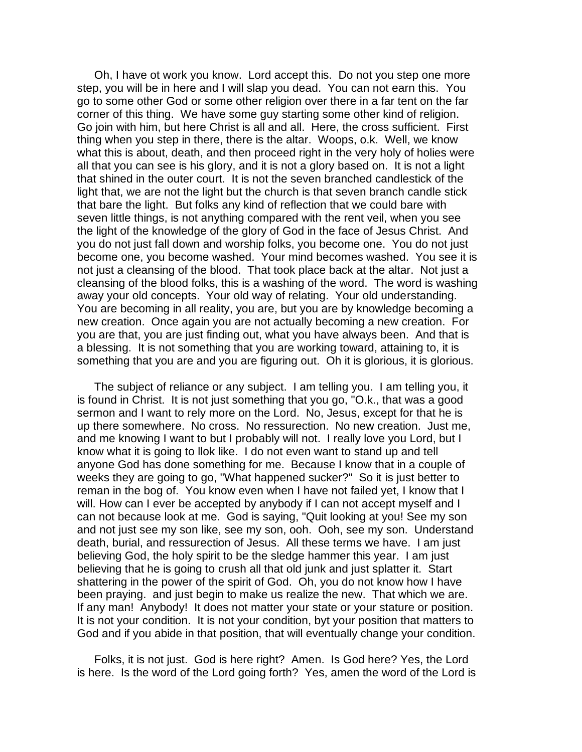*Oh, I have ot work you know. Lord accept this. Do not you step one more step, you will be in here and I will slap you dead. You can not earn this. You go to some other God or some other religion over there in a far tent on the far corner of this thing. We have some guy starting some other kind of religion. Go join with him, but here Christ is all and all. Here, the cross sufficient. First thing when you step in there, there is the altar. Woops, o.k. Well, we know*  what this is about, death, and then proceed right in the very holy of holies were *all that you can see is his glory, and it is not a glory based on. It is not a light that shined in the outer court. It is not the seven branched candlestick of the*  light that, we are not the light but the church is that seven branch candle stick *that bare the light. But folks any kind of reflection that we could bare with seven little things, is not anything compared with the rent veil, when you see the light of the knowledge of the glory of God in the face of Jesus Christ. And you do not just fall down and worship folks, you become one. You do not just become one, you become washed. Your mind becomes washed. You see it is*  not just a cleansing of the blood. That took place back at the altar. Not just a *cleansing of the blood folks, this is a washing of the word. The word is washing away your old concepts. Your old way of relating. Your old understanding. You are becoming in all reality, you are, but you are by knowledge becoming a new creation. Once again you are not actually becoming a new creation. For you are that, you are just finding out, what you have always been. And that is a blessing. It is not something that you are working toward, attaining to, it is something that you are and you are figuring out. Oh it is glorious, it is glorious.*

*The subject of reliance or any subject. I am telling you. I am telling you, it is found in Christ. It is not just something that you go, "O.k., that was a good sermon and I want to rely more on the Lord. No, Jesus, except for that he is up there somewhere. No cross. No ressurection. No new creation. Just me,*  and me knowing I want to but I probably will not. I really love you Lord, but I *know what it is going to llok like. I do not even want to stand up and tell anyone God has done something for me. Because I know that in a couple of weeks they are going to go, "What happened sucker?" So it is just better to reman in the bog of. You know even when I have not failed yet, I know that I* will. How can I ever be accepted by anybody if I can not accept myself and I *can not because look at me. God is saying, "Quit looking at you! See my son and not just see my son like, see my son, ooh. Ooh, see my son. Understand death, burial, and ressurection of Jesus. All these terms we have. I am just believing God, the holy spirit to be the sledge hammer this year. I am just believing that he is going to crush all that old junk and just splatter it. Start shattering in the power of the spirit of God. Oh, you do not know how I have*  been praying. and just begin to make us realize the new. That which we are. *If any man! Anybody! It does not matter your state or your stature or position. It is not your condition. It is not your condition, byt your position that matters to God and if you abide in that position, that will eventually change your condition.*

*Folks, it is not just. God is here right? Amen. Is God here? Yes, the Lord is here. Is the word of the Lord going forth? Yes, amen the word of the Lord is*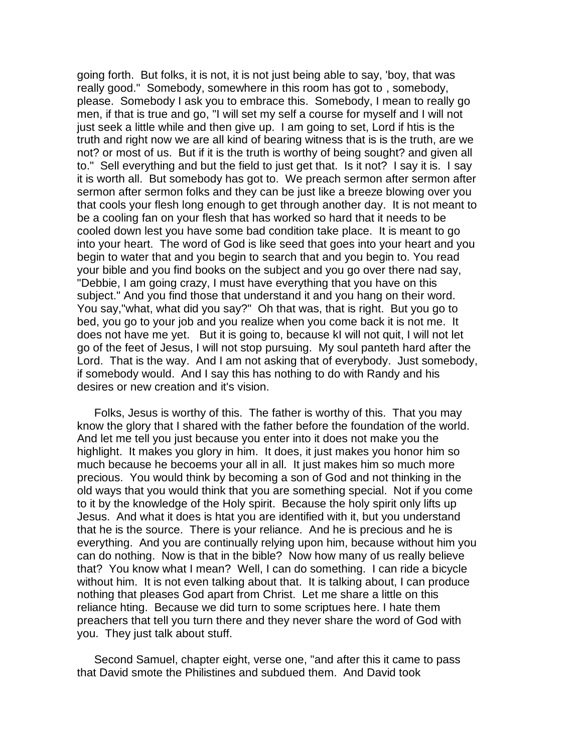*going forth. But folks, it is not, it is not just being able to say, 'boy, that was really good." Somebody, somewhere in this room has got to , somebody, please. Somebody I ask you to embrace this. Somebody, I mean to really go men, if that is true and go, "I will set my self a course for myself and I will not just seek a little while and then give up. I am going to set, Lord if htis is the truth and right now we are all kind of bearing witness that is is the truth, are we*  not? or most of us. But if it is the truth is worthy of being sought? and given all *to." Sell everything and but the field to just get that. Is it not? I say it is. I say it is worth all. But somebody has got to. We preach sermon after sermon after sermon after sermon folks and they can be just like a breeze blowing over you that cools your flesh long enough to get through another day. It is not meant to be a cooling fan on your flesh that has worked so hard that it needs to be cooled down lest you have some bad condition take place. It is meant to go into your heart. The word of God is like seed that goes into your heart and you begin to water that and you begin to search that and you begin to. You read your bible and you find books on the subject and you go over there nad say, "Debbie, I am going crazy, I must have everything that you have on this subject." And you find those that understand it and you hang on their word. You say,"what, what did you say?" Oh that was, that is right. But you go to*  bed, you go to your job and you realize when you come back it is not me. It *does not have me yet. But it is going to, because kI will not quit, I will not let go of the feet of Jesus, I will not stop pursuing. My soul panteth hard after the*  Lord. That is the way. And I am not asking that of everybody. Just somebody, *if somebody would. And I say this has nothing to do with Randy and his desires or new creation and it's vision.* 

*Folks, Jesus is worthy of this. The father is worthy of this. That you may know the glory that I shared with the father before the foundation of the world. And let me tell you just because you enter into it does not make you the highlight. It makes you glory in him. It does, it just makes you honor him so much because he becoems your all in all. It just makes him so much more precious. You would think by becoming a son of God and not thinking in the old ways that you would think that you are something special. Not if you come to it by the knowledge of the Holy spirit. Because the holy spirit only lifts up Jesus. And what it does is htat you are identified with it, but you understand that he is the source. There is your reliance. And he is precious and he is everything. And you are continually relying upon him, because without him you can do nothing. Now is that in the bible? Now how many of us really believe that? You know what I mean? Well, I can do something. I can ride a bicycle without him. It is not even talking about that. It is talking about, I can produce nothing that pleases God apart from Christ. Let me share a little on this reliance hting. Because we did turn to some scriptues here. I hate them preachers that tell you turn there and they never share the word of God with you. They just talk about stuff.* 

*Second Samuel, chapter eight, verse one, "and after this it came to pass that David smote the Philistines and subdued them. And David took*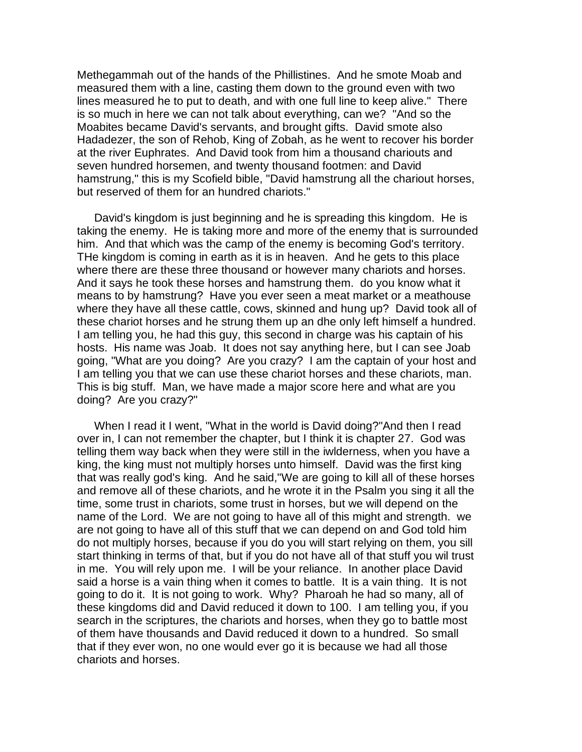*Methegammah out of the hands of the Phillistines. And he smote Moab and measured them with a line, casting them down to the ground even with two lines measured he to put to death, and with one full line to keep alive." There is so much in here we can not talk about everything, can we? "And so the Moabites became David's servants, and brought gifts. David smote also Hadadezer, the son of Rehob, King of Zobah, as he went to recover his border at the river Euphrates. And David took from him a thousand chariouts and seven hundred horsemen, and twenty thousand footmen: and David hamstrung," this is my Scofield bible, "David hamstrung all the chariout horses, but reserved of them for an hundred chariots."*

*David's kingdom is just beginning and he is spreading this kingdom. He is taking the enemy. He is taking more and more of the enemy that is surrounded him. And that which was the camp of the enemy is becoming God's territory. THe kingdom is coming in earth as it is in heaven. And he gets to this place where there are these three thousand or however many chariots and horses. And it says he took these horses and hamstrung them. do you know what it means to by hamstrung? Have you ever seen a meat market or a meathouse where they have all these cattle, cows, skinned and hung up? David took all of these chariot horses and he strung them up an dhe only left himself a hundred.*  I am telling you, he had this guy, this second in charge was his captain of his *hosts. His name was Joab. It does not say anything here, but I can see Joab going, "What are you doing? Are you crazy? I am the captain of your host and I am telling you that we can use these chariot horses and these chariots, man. This is big stuff. Man, we have made a major score here and what are you doing? Are you crazy?"*

When I read it I went, "What in the world is David doing?"And then I read *over in, I can not remember the chapter, but I think it is chapter 27. God was telling them way back when they were still in the iwlderness, when you have a king, the king must not multiply horses unto himself. David was the first king that was really god's king. And he said,"We are going to kill all of these horses and remove all of these chariots, and he wrote it in the Psalm you sing it all the time, some trust in chariots, some trust in horses, but we will depend on the name of the Lord. We are not going to have all of this might and strength. we are not going to have all of this stuff that we can depend on and God told him do not multiply horses, because if you do you will start relying on them, you sill start thinking in terms of that, but if you do not have all of that stuff you wil trust*  in me. You will rely upon me. I will be your reliance. In another place David said a horse is a vain thing when it comes to battle. It is a vain thing. It is not *going to do it. It is not going to work. Why? Pharoah he had so many, all of these kingdoms did and David reduced it down to 100. I am telling you, if you search in the scriptures, the chariots and horses, when they go to battle most of them have thousands and David reduced it down to a hundred. So small that if they ever won, no one would ever go it is because we had all those chariots and horses.*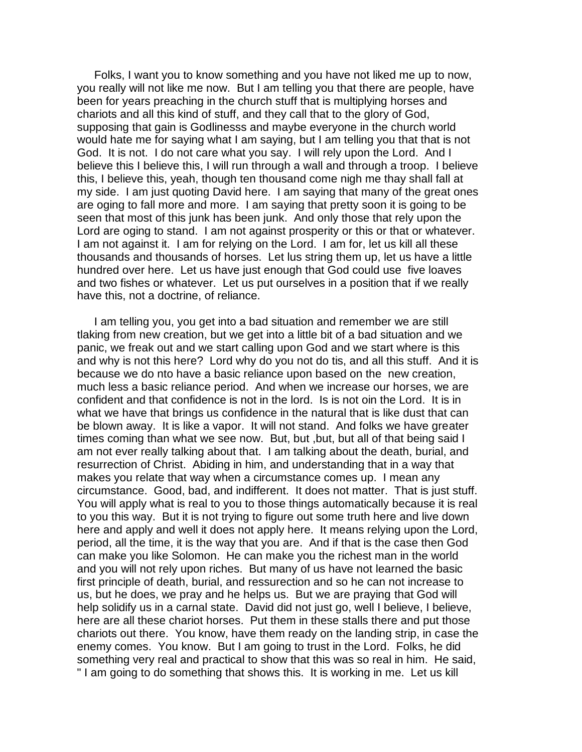*Folks, I want you to know something and you have not liked me up to now, you really will not like me now. But I am telling you that there are people, have*  been for years preaching in the church stuff that is multiplying horses and *chariots and all this kind of stuff, and they call that to the glory of God, supposing that gain is Godlinesss and maybe everyone in the church world would hate me for saying what I am saying, but I am telling you that that is not*  God. It is not. I do not care what you say. I will rely upon the Lord. And I *believe this I believe this, I will run through a wall and through a troop. I believe this, I believe this, yeah, though ten thousand come nigh me thay shall fall at my side. I am just quoting David here. I am saying that many of the great ones are oging to fall more and more. I am saying that pretty soon it is going to be seen that most of this junk has been junk. And only those that rely upon the*  Lord are oging to stand. I am not against prosperity or this or that or whatever. *I am not against it. I am for relying on the Lord. I am for, let us kill all these thousands and thousands of horses. Let lus string them up, let us have a little hundred over here. Let us have just enough that God could use five loaves and two fishes or whatever. Let us put ourselves in a position that if we really have this, not a doctrine, of reliance.* 

I am telling you, you get into a bad situation and remember we are still *tlaking from new creation, but we get into a little bit of a bad situation and we panic, we freak out and we start calling upon God and we start where is this and why is not this here? Lord why do you not do tis, and all this stuff. And it is because we do nto have a basic reliance upon based on the new creation, much less a basic reliance period. And when we increase our horses, we are confident and that confidence is not in the lord. Is is not oin the Lord. It is in what we have that brings us confidence in the natural that is like dust that can be blown away. It is like a vapor. It will not stand. And folks we have greater times coming than what we see now. But, but ,but, but all of that being said I am not ever really talking about that. I am talking about the death, burial, and resurrection of Christ. Abiding in him, and understanding that in a way that makes you relate that way when a circumstance comes up. I mean any circumstance. Good, bad, and indifferent. It does not matter. That is just stuff. You will apply what is real to you to those things automatically because it is real to you this way. But it is not trying to figure out some truth here and live down*  here and apply and well it does not apply here. It means relying upon the Lord, *period, all the time, it is the way that you are. And if that is the case then God can make you like Solomon. He can make you the richest man in the world and you will not rely upon riches. But many of us have not learned the basic first principle of death, burial, and ressurection and so he can not increase to us, but he does, we pray and he helps us. But we are praying that God will help solidify us in a carnal state. David did not just go, well I believe, I believe, here are all these chariot horses. Put them in these stalls there and put those chariots out there. You know, have them ready on the landing strip, in case the enemy comes. You know. But I am going to trust in the Lord. Folks, he did something very real and practical to show that this was so real in him. He said, " I am going to do something that shows this. It is working in me. Let us kill*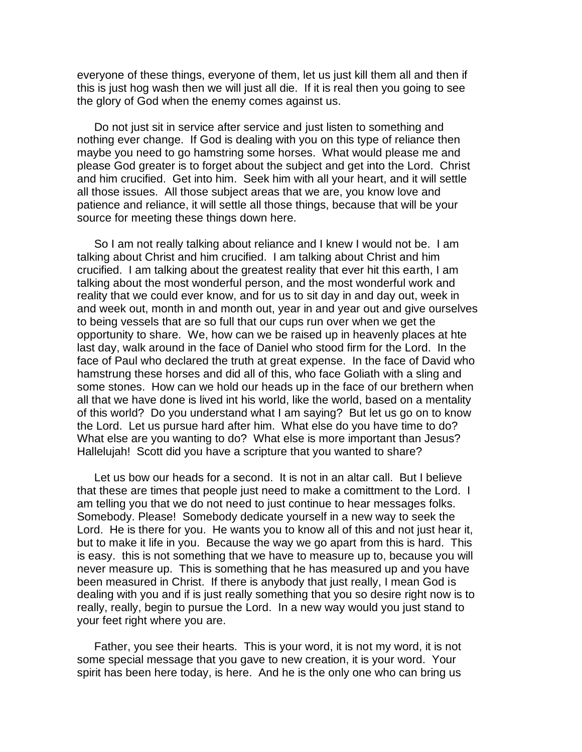*everyone of these things, everyone of them, let us just kill them all and then if this is just hog wash then we will just all die. If it is real then you going to see the glory of God when the enemy comes against us.*

*Do not just sit in service after service and just listen to something and nothing ever change. If God is dealing with you on this type of reliance then maybe you need to go hamstring some horses. What would please me and please God greater is to forget about the subject and get into the Lord. Christ and him crucified. Get into him. Seek him with all your heart, and it will settle all those issues. All those subject areas that we are, you know love and patience and reliance, it will settle all those things, because that will be your source for meeting these things down here.* 

*So I am not really talking about reliance and I knew I would not be. I am talking about Christ and him crucified. I am talking about Christ and him crucified. I am talking about the greatest reality that ever hit this earth, I am talking about the most wonderful person, and the most wonderful work and reality that we could ever know, and for us to sit day in and day out, week in and week out, month in and month out, year in and year out and give ourselves to being vessels that are so full that our cups run over when we get the opportunity to share. We, how can we be raised up in heavenly places at hte*  last day, walk around in the face of Daniel who stood firm for the Lord. In the *face of Paul who declared the truth at great expense. In the face of David who hamstrung these horses and did all of this, who face Goliath with a sling and some stones. How can we hold our heads up in the face of our brethern when all that we have done is lived int his world, like the world, based on a mentality of this world? Do you understand what I am saying? But let us go on to know the Lord. Let us pursue hard after him. What else do you have time to do? What else are you wanting to do? What else is more important than Jesus? Hallelujah! Scott did you have a scripture that you wanted to share?*

Let us bow our heads for a second. It is not in an altar call. But I believe *that these are times that people just need to make a comittment to the Lord. I am telling you that we do not need to just continue to hear messages folks. Somebody. Please! Somebody dedicate yourself in a new way to seek the*  Lord. He is there for you. He wants you to know all of this and not just hear it, *but to make it life in you. Because the way we go apart from this is hard. This*  is easy. this is not something that we have to measure up to, because you will *never measure up. This is something that he has measured up and you have been measured in Christ. If there is anybody that just really, I mean God is dealing with you and if is just really something that you so desire right now is to really, really, begin to pursue the Lord. In a new way would you just stand to your feet right where you are.*

Father, you see their hearts. This is your word, it is not my word, it is not *some special message that you gave to new creation, it is your word. Your spirit has been here today, is here. And he is the only one who can bring us*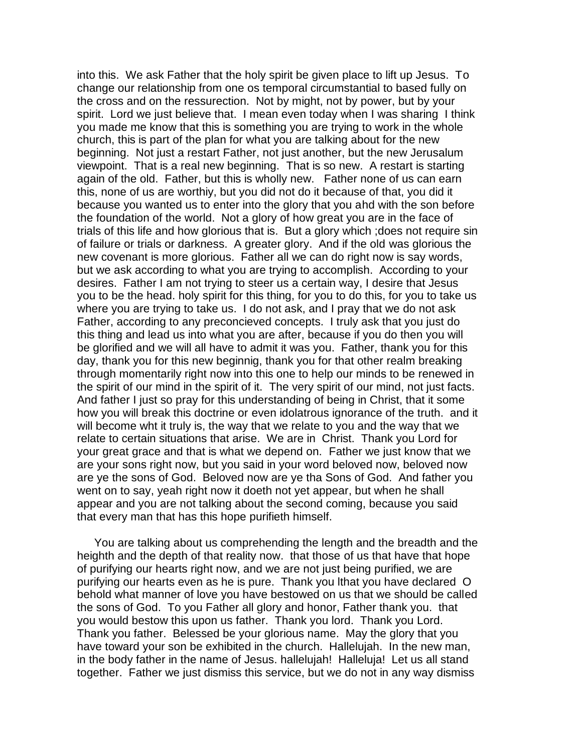*into this. We ask Father that the holy spirit be given place to lift up Jesus. To change our relationship from one os temporal circumstantial to based fully on the cross and on the ressurection. Not by might, not by power, but by your spirit. Lord we just believe that. I mean even today when I was sharing I think you made me know that this is something you are trying to work in the whole church, this is part of the plan for what you are talking about for the new beginning. Not just a restart Father, not just another, but the new Jerusalum viewpoint. That is a real new beginning. That is so new. A restart is starting again of the old. Father, but this is wholly new. Father none of us can earn this, none of us are worthiy, but you did not do it because of that, you did it because you wanted us to enter into the glory that you ahd with the son before the foundation of the world. Not a glory of how great you are in the face of trials of this life and how glorious that is. But a glory which ;does not require sin of failure or trials or darkness. A greater glory. And if the old was glorious the new covenant is more glorious. Father all we can do right now is say words, but we ask according to what you are trying to accomplish. According to your desires. Father I am not trying to steer us a certain way, I desire that Jesus you to be the head. holy spirit for this thing, for you to do this, for you to take us where you are trying to take us. I do not ask, and I pray that we do not ask Father, according to any preconcieved concepts. I truly ask that you just do this thing and lead us into what you are after, because if you do then you will be glorified and we will all have to admit it was you. Father, thank you for this*  day, thank you for this new beginnig, thank you for that other realm breaking *through momentarily right now into this one to help our minds to be renewed in the spirit of our mind in the spirit of it. The very spirit of our mind, not just facts. And father I just so pray for this understanding of being in Christ, that it some how you will break this doctrine or even idolatrous ignorance of the truth. and it will become wht it truly is, the way that we relate to you and the way that we relate to certain situations that arise. We are in Christ. Thank you Lord for your great grace and that is what we depend on. Father we just know that we are your sons right now, but you said in your word beloved now, beloved now are ye the sons of God. Beloved now are ye tha Sons of God. And father you*  went on to say, yeah right now it doeth not yet appear, but when he shall *appear and you are not talking about the second coming, because you said that every man that has this hope purifieth himself.*

*You are talking about us comprehending the length and the breadth and the heighth and the depth of that reality now. that those of us that have that hope of purifying our hearts right now, and we are not just being purified, we are purifying our hearts even as he is pure. Thank you lthat you have declared O behold what manner of love you have bestowed on us that we should be called the sons of God. To you Father all glory and honor, Father thank you. that you would bestow this upon us father. Thank you lord. Thank you Lord. Thank you father. Belessed be your glorious name. May the glory that you have toward your son be exhibited in the church. Hallelujah. In the new man, in the body father in the name of Jesus. hallelujah! Halleluja! Let us all stand together. Father we just dismiss this service, but we do not in any way dismiss*